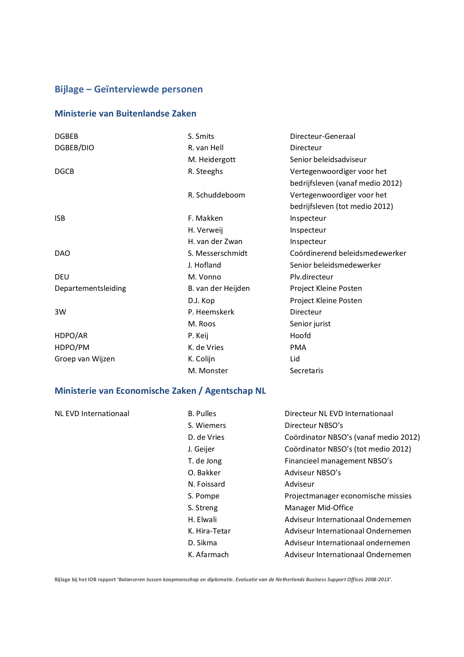## **Bijlage – Geïnterviewde personen**

### **Ministerie van Buitenlandse Zaken**

| <b>DGBEB</b>        | S. Smits           | Directeur-Generaal               |
|---------------------|--------------------|----------------------------------|
| DGBEB/DIO           | R. van Hell        | Directeur                        |
|                     | M. Heidergott      | Senior beleidsadviseur           |
| <b>DGCB</b>         | R. Steeghs         | Vertegenwoordiger voor het       |
|                     |                    | bedrijfsleven (vanaf medio 2012) |
|                     | R. Schuddeboom     | Vertegenwoordiger voor het       |
|                     |                    | bedrijfsleven (tot medio 2012)   |
| <b>ISB</b>          | F. Makken          | Inspecteur                       |
|                     | H. Verweij         | Inspecteur                       |
|                     | H. van der Zwan    | Inspecteur                       |
| <b>DAO</b>          | S. Messerschmidt   | Coördinerend beleidsmedewerker   |
|                     | J. Hofland         | Senior beleidsmedewerker         |
| DEU                 | M. Vonno           | Ply.directeur                    |
| Departementsleiding | B. van der Heijden | Project Kleine Posten            |
|                     | D.J. Kop           | Project Kleine Posten            |
| 3W                  | P. Heemskerk       | Directeur                        |
|                     | M. Roos            | Senior jurist                    |
| HDPO/AR             | P. Keij            | Hoofd                            |
| HDPO/PM             | K. de Vries        | <b>PMA</b>                       |
| Groep van Wijzen    | K. Colijn          | Lid                              |
|                     | M. Monster         | Secretaris                       |

## **Ministerie van Economische Zaken / Agentschap NL**

| NL EVD Internationaal | <b>B.</b> Pulles | Directeur NL EVD Internationaal       |
|-----------------------|------------------|---------------------------------------|
|                       | S. Wiemers       | Directeur NBSO's                      |
|                       | D. de Vries      | Coördinator NBSO's (vanaf medio 2012) |
|                       | J. Geijer        | Coördinator NBSO's (tot medio 2012)   |
|                       | T. de Jong       | Financieel management NBSO's          |
|                       | O. Bakker        | Adviseur NBSO's                       |
|                       | N. Foissard      | Adviseur                              |
|                       | S. Pompe         | Projectmanager economische missies    |
|                       | S. Streng        | Manager Mid-Office                    |
|                       | H. Elwali        | Adviseur Internationaal Ondernemen    |
|                       | K. Hira-Tetar    | Adviseur Internationaal Ondernemen    |
|                       | D. Sikma         | Adviseur Internationaal ondernemen    |
|                       | K. Afarmach      | Adviseur Internationaal Ondernemen    |
|                       |                  |                                       |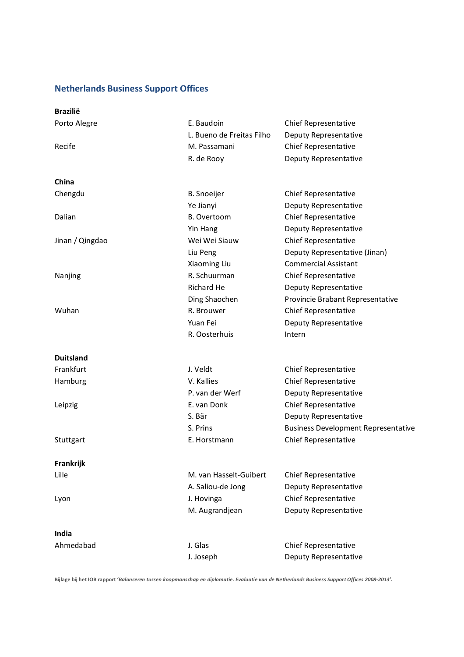# **Netherlands Business Support Offices**

| <b>Brazilië</b>  |                           |                                            |
|------------------|---------------------------|--------------------------------------------|
| Porto Alegre     | E. Baudoin                | Chief Representative                       |
|                  | L. Bueno de Freitas Filho | Deputy Representative                      |
| Recife           | M. Passamani              | Chief Representative                       |
|                  | R. de Rooy                | Deputy Representative                      |
| China            |                           |                                            |
| Chengdu          | <b>B.</b> Snoeijer        | Chief Representative                       |
|                  | Ye Jianyi                 | Deputy Representative                      |
| Dalian           | <b>B.</b> Overtoom        | Chief Representative                       |
|                  | Yin Hang                  | Deputy Representative                      |
| Jinan / Qingdao  | Wei Wei Siauw             | Chief Representative                       |
|                  | Liu Peng                  | Deputy Representative (Jinan)              |
|                  | Xiaoming Liu              | <b>Commercial Assistant</b>                |
| Nanjing          | R. Schuurman              | Chief Representative                       |
|                  | Richard He                | Deputy Representative                      |
|                  | Ding Shaochen             | Provincie Brabant Representative           |
| Wuhan            | R. Brouwer                | Chief Representative                       |
|                  | Yuan Fei                  | Deputy Representative                      |
|                  | R. Oosterhuis             | Intern                                     |
| <b>Duitsland</b> |                           |                                            |
| Frankfurt        | J. Veldt                  | Chief Representative                       |
| Hamburg          | V. Kallies                | Chief Representative                       |
|                  | P. van der Werf           | Deputy Representative                      |
| Leipzig          | E. van Donk               | Chief Representative                       |
|                  | S. Bär                    | Deputy Representative                      |
|                  | S. Prins                  | <b>Business Development Representative</b> |
| Stuttgart        | E. Horstmann              | Chief Representative                       |
| Frankrijk        |                           |                                            |
| Lille            | M. van Hasselt-Guibert    | Chief Representative                       |
|                  | A. Saliou-de Jong         | Deputy Representative                      |
| Lyon             | J. Hovinga                | Chief Representative                       |
|                  | M. Augrandjean            | Deputy Representative                      |
| India            |                           |                                            |
| Ahmedabad        | J. Glas                   | Chief Representative                       |
|                  | J. Joseph                 | Deputy Representative                      |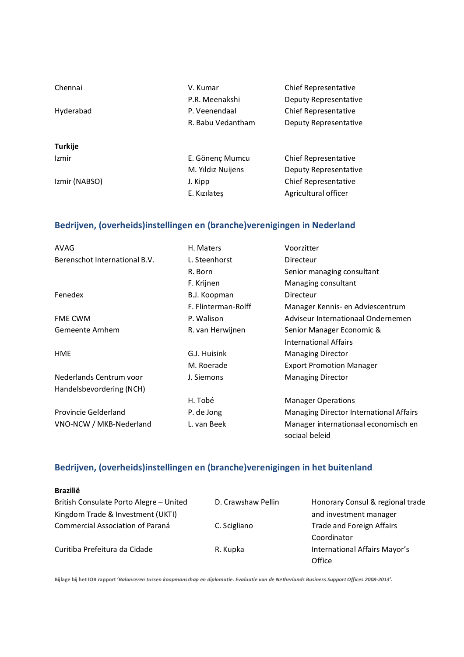| Chennai        | V. Kumar          | <b>Chief Representative</b> |
|----------------|-------------------|-----------------------------|
|                | P.R. Meenakshi    | Deputy Representative       |
| Hyderabad      | P. Veenendaal     | <b>Chief Representative</b> |
|                | R. Babu Vedantham | Deputy Representative       |
| <b>Turkije</b> |                   |                             |
| Izmir          | E. Gönenç Mumcu   | <b>Chief Representative</b> |
|                | M. Yıldız Nuijens | Deputy Representative       |
| Izmir (NABSO)  | J. Kipp           | <b>Chief Representative</b> |
|                | E. Kizilates      | Agricultural officer        |

## **Bedrijven, (overheids)instellingen en (branche)verenigingen in Nederland**

| AVAG                          | H. Maters           | Voorzitter                              |
|-------------------------------|---------------------|-----------------------------------------|
| Berenschot International B.V. | L. Steenhorst       | Directeur                               |
|                               | R. Born             | Senior managing consultant              |
|                               | F. Krijnen          | Managing consultant                     |
| Fenedex                       | B.J. Koopman        | Directeur                               |
|                               | F. Flinterman-Rolff | Manager Kennis- en Adviescentrum        |
| <b>FME CWM</b>                | P. Walison          | Adviseur Internationaal Ondernemen      |
| Gemeente Arnhem               | R. van Herwijnen    | Senior Manager Economic &               |
|                               |                     | International Affairs                   |
| HME                           | G.J. Huisink        | <b>Managing Director</b>                |
|                               | M. Roerade          | <b>Export Promotion Manager</b>         |
| Nederlands Centrum voor       | J. Siemons          | <b>Managing Director</b>                |
| Handelsbevordering (NCH)      |                     |                                         |
|                               | H. Tobé             | <b>Manager Operations</b>               |
| Provincie Gelderland          | P. de Jong          | Managing Director International Affairs |
| VNO-NCW / MKB-Nederland       | L. van Beek         | Manager internationaal economisch en    |
|                               |                     | sociaal beleid                          |

## **Bedrijven, (overheids)instellingen en (branche)verenigingen in het buitenland**

| <b>Brazilië</b>                         |                    |                                  |
|-----------------------------------------|--------------------|----------------------------------|
| British Consulate Porto Alegre - United | D. Crawshaw Pellin | Honorary Consul & regional trade |
| Kingdom Trade & Investment (UKTI)       |                    | and investment manager           |
| Commercial Association of Paraná        | C. Scigliano       | Trade and Foreign Affairs        |
|                                         |                    | Coordinator                      |
| Curitiba Prefeitura da Cidade           | R. Kupka           | International Affairs Mayor's    |
|                                         |                    | Office                           |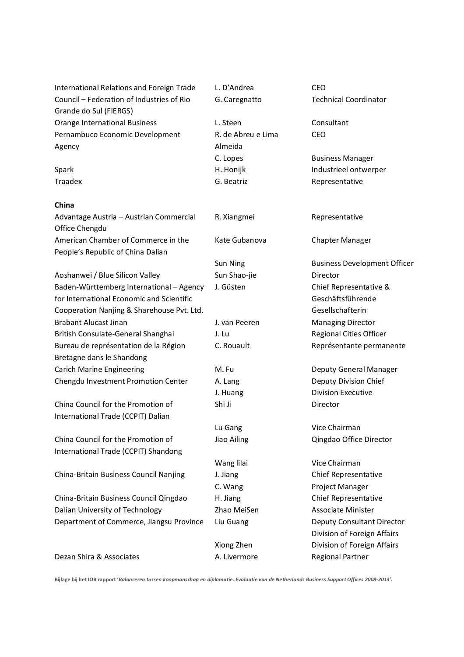International Relations and Foreign Trade Council – Federation of Industries of Rio Grande do Sul (FIERGS) Orange International Business L. Steen Consultant Pernambuco Economic Development Agency

#### **China**

Advantage Austria – Austrian Commercial Office Chengdu American Chamber of Commerce in the People's Republic of China Dalian

Aoshanwei / Blue Silicon Valley Sun Shao-jie Director Baden-Württemberg International – Agency for International Economic and Scientific Cooperation Nanjing & Sharehouse Pvt. Ltd. Brabant Alucast Jinan **J. Van Peeren** Managing Director British Consulate-General Shanghai J. Lu Regional Cities Officer Bureau de représentation de la Région Bretagne dans le Shandong Carich Marine Engineering The M. Fu Carich Manager Deputy General Manager Chengdu Investment Promotion Center A. Lang The Deputy Division Chief

China Council for the Promotion of International Trade (CCPIT) Dalian

China Council for the Promotion of International Trade (CCPIT) Shandong

China-Britain Business Council Nanjing J. Jiang Chief Representative

China-Britain Business Council Qingdao H. Jiang Chief Representative Dalian University of Technology **Shapes** Zhao MeiSen **Associate Minister** Associate Minister Department of Commerce, Jiangsu Province Liu Guang Deputy Consultant Director

L. D'Andrea G. Caregnatto

R. de Abreu e Lima Almeida Traadex G. Beatriz Representative

CEO Technical Coordinator

CEO

C. Lopes Business Manager Spark **Industrieel ontwerper** H. Honijk Industrieel ontwerper

R. Xiangmei Representative

Kate Gubanova Chapter Manager

Sun Ning Business Development Officer J. Güsten Chief Representative & Geschäftsführende Gesellschafterin C. Rouault Représentante permanente

J. Huang Division Executive Shi Ji Director

Lu Gang **Vice Chairman** Jiao Ailing **Communist Communist Communist Communist Contract Contract Contract Contract Contract Contract Contr** 

Wang lilai **Vice Chairman** C. Wang **Project Manager** Division of Foreign Affairs Xiong Zhen Division of Foreign Affairs Dezan Shira & Associates **A. Livermore** Regional Partner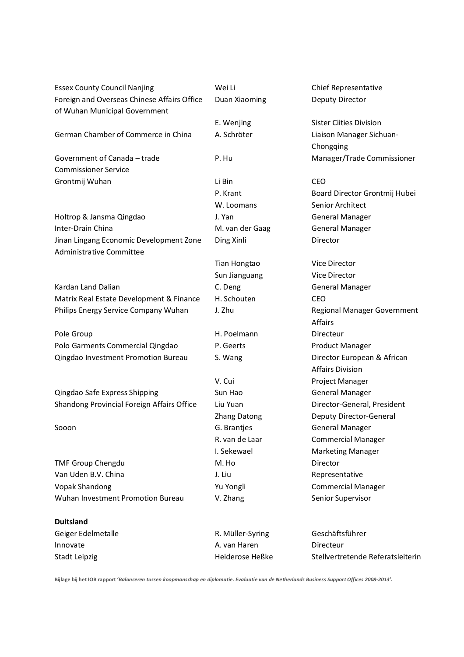Essex County Council Nanjing The Mei Li Chief Representative Chief Representative Foreign and Overseas Chinese Affairs Office of Wuhan Municipal Government

German Chamber of Commerce in China A. Schröter Liaison Manager Sichuan-

Government of Canada – trade Commissioner Service Grontmij Wuhan Li Bin Li Bin CEO

Holtrop & Jansma Qingdao J. Yan General Manager Inter-Drain China M. van der Gaag General Manager Jinan Lingang Economic Development Zone Administrative Committee

Kardan Land Dalian C. Deng General Manager Matrix Real Estate Development & Finance H. Schouten CEO Philips Energy Service Company Wuhan J. Zhu Regional Manager Government

Pole Group **H. Poelmann** Directeur Polo Garments Commercial Qingdao P. Geerts Product Manager Qingdao Investment Promotion Bureau S. Wang Fig. 2011 Director European & African

Qingdao Safe Express Shipping Sun Hao Sun Hao General Manager Shandong Provincial Foreign Affairs Office Liu Yuan Director-General, President

TMF Group Chengdu M. Ho Director Van Uden B.V. China **Van Luister China** J. Liu *J. Liu Representative* Vopak Shandong Yu Yongli Commercial Manager Wuhan Investment Promotion Bureau V. Zhang Senior Supervisor

**Duitsland**

Ding Xinli **Director** 

Tian Hongtao Vice Director Sun Jianguang **Vice Director** 

Innovate A. van Haren Directeur

Duan Xiaoming Deputy Director

E. Wenjing Sister Ciities Division Chongqing P. Hu Manager/Trade Commissioner

P. Krant Board Director Grontmij Hubei W. Loomans Senior Architect

Affairs Affairs Division V. Cui Project Manager Zhang Datong Deputy Director-General Sooon G. Brantjes G. Brantjes General Manager R. van de Laar **Commercial Manager** I. Sekewael **Marketing Manager** 

Geiger Edelmetalle aus der Edelmetalle Eine Edelmetalle R. Müller-Syring Geschäftsführer Stadt Leipzig Teilerose Heßke Stellvertretende Referatsleiterin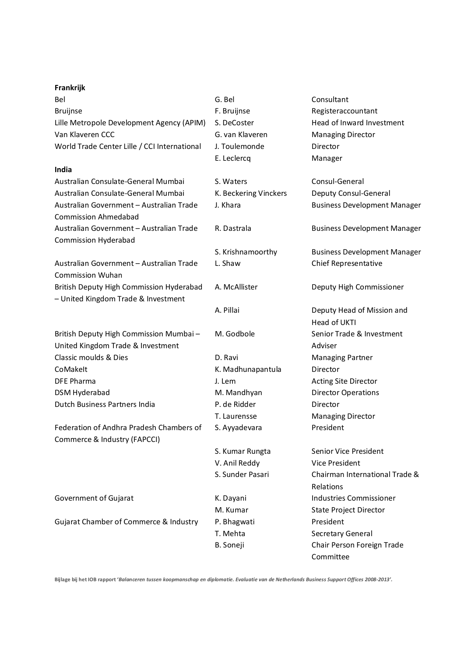#### **Frankrijk**

Bel G. Bel Consultant Bruijnse **Bruijnse** Registeraccountant Lille Metropole Development Agency (APIM) S. DeCoster Head of Inward Investment Van Klaveren CCC G. van Klaveren Managing Director World Trade Center Lille / CCI International J. Toulemonde Director **India** Australian Consulate-General Mumbai S. Waters Consul-General Australian Consulate-General Mumbai K. Beckering Vinckers Deputy Consul-General Australian Government – Australian Trade Commission Ahmedabad Australian Government – Australian Trade Commission Hyderabad Australian Government – Australian Trade Commission Wuhan British Deputy High Commission Hyderabad – United Kingdom Trade & Investment British Deputy High Commission Mumbai – United Kingdom Trade & Investment Classic moulds & Dies **D. Ravi Classic moulds & Dies** D. Ravi Managing Partner CoMakeIt **K. Madhunapantula** Director DFE Pharma **DEE Pharma** J. Lem Acting Site Director DSM Hyderabad M. Mandhyan Director Operations Dutch Business Partners India P. de Ridder Director

Federation of Andhra Pradesh Chambers of Commerce & Industry (FAPCCI)

Gujarat Chamber of Commerce & Industry P. Bhagwati President

S. Ayyadevara President

E. Leclercq Manager

J. Khara Business Development Manager

R. Dastrala Business Development Manager

S. Krishnamoorthy Business Development Manager L. Shaw Chief Representative

A. McAllister Deputy High Commissioner

A. Pillai Deputy Head of Mission and Head of UKTI M. Godbole Senior Trade & Investment Adviser T. Laurensse Managing Director

S. Kumar Rungta Senior Vice President V. Anil Reddy Vice President S. Sunder Pasari Chairman International Trade & Relations Government of Gujarat The Commissioner Commissioner R. Dayani Industries Commissioner M. Kumar State Project Director T. Mehta Secretary General B. Soneji Chair Person Foreign Trade Committee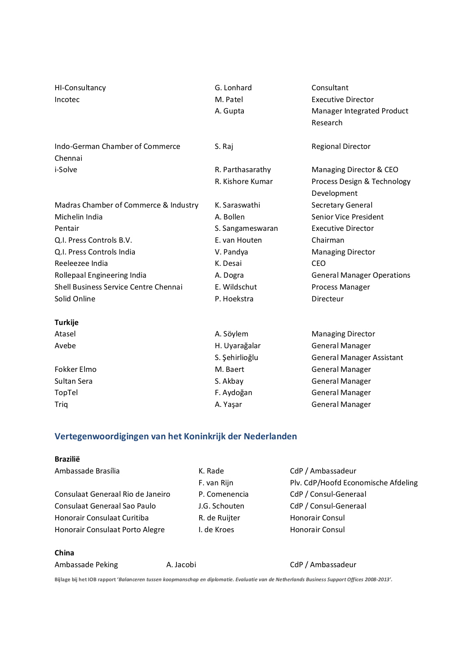| HI-Consultancy<br>Incotec             | G. Lonhard<br>M. Patel<br>A. Gupta | Consultant<br><b>Executive Director</b><br>Manager Integrated Product<br>Research |
|---------------------------------------|------------------------------------|-----------------------------------------------------------------------------------|
| Indo-German Chamber of Commerce       | S. Raj                             | <b>Regional Director</b>                                                          |
| Chennai                               |                                    |                                                                                   |
| i-Solve                               | R. Parthasarathy                   | Managing Director & CEO                                                           |
|                                       | R. Kishore Kumar                   | Process Design & Technology                                                       |
|                                       |                                    | Development                                                                       |
| Madras Chamber of Commerce & Industry | K. Saraswathi                      | Secretary General                                                                 |
| Michelin India                        | A. Bollen                          | Senior Vice President                                                             |
| Pentair                               | S. Sangameswaran                   | <b>Executive Director</b>                                                         |
| Q.I. Press Controls B.V.              | E. van Houten                      | Chairman                                                                          |
| Q.I. Press Controls India             | V. Pandya                          | <b>Managing Director</b>                                                          |
| Reeleezee India                       | K. Desai                           | <b>CEO</b>                                                                        |
| Rollepaal Engineering India           | A. Dogra                           | <b>General Manager Operations</b>                                                 |
| Shell Business Service Centre Chennai | E. Wildschut                       | Process Manager                                                                   |
| Solid Online                          | P. Hoekstra                        | Directeur                                                                         |
| <b>Turkije</b>                        |                                    |                                                                                   |
| Atasel                                | A. Söylem                          | <b>Managing Director</b>                                                          |
| Avebe                                 | H. Uyarağalar                      | General Manager                                                                   |
|                                       | S. Şehirlioğlu                     | <b>General Manager Assistant</b>                                                  |
|                                       |                                    |                                                                                   |

Fokker Elmo **M. Baert** General Manager Communist Communist Communist Communist Communist Communist Communist Communist Communist Communist Communist Communist Communist Communist Communist Communist Communist Communist Com Sultan Sera Sultan Sera S. Akbay S. Akbay S. Akbay General Manager TopTel **F. Aydoğan** General Manager Triq **A. Yaşar** General Manager Construction A. Yaşar

### **Vertegenwoordigingen van het Koninkrijk der Nederlanden**

#### **Brazilië**

Consulaat Generaal Rio de Janeiro P. Comenencia CdP / Consul-Generaal Consulaat Generaal Sao Paulo J.G. Schouten CdP / Consul-Generaal Honorair Consulaat Curitiba **R. de Ruijter** Honorair Consul Honorair Consulaat Porto Alegre I. de Kroes Honorair Consul

Ambassade Brasília K. Rade CdP / Ambassadeur F. van Rijn Plv. CdP/Hoofd Economische Afdeling

#### **China**

#### Ambassade Peking A. Jacobi CdP / Ambassadeur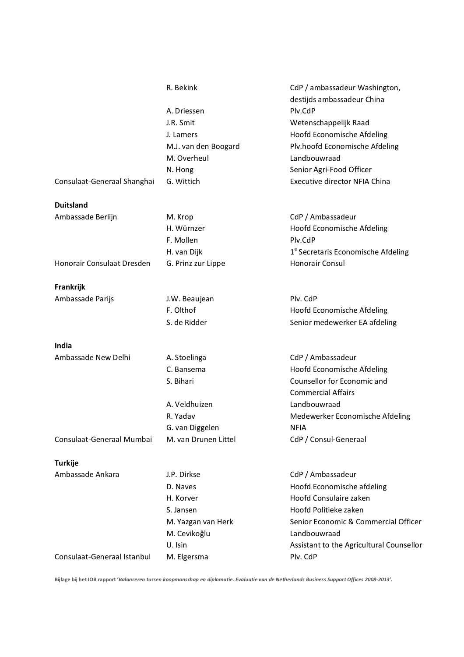|                             | R. Bekink<br>A. Driessen<br>J.R. Smit<br>J. Lamers<br>M.J. van den Boogard<br>M. Overheul          | CdP / ambassadeur Washington,<br>destijds ambassadeur China<br>Plv.CdP<br>Wetenschappelijk Raad<br>Hoofd Economische Afdeling<br>Plv.hoofd Economische Afdeling<br>Landbouwraad                        |
|-----------------------------|----------------------------------------------------------------------------------------------------|--------------------------------------------------------------------------------------------------------------------------------------------------------------------------------------------------------|
|                             | N. Hong                                                                                            | Senior Agri-Food Officer                                                                                                                                                                               |
| Consulaat-Generaal Shanghai | G. Wittich                                                                                         | Executive director NFIA China                                                                                                                                                                          |
| <b>Duitsland</b>            |                                                                                                    |                                                                                                                                                                                                        |
| Ambassade Berlijn           | M. Krop<br>H. Würnzer<br>F. Mollen<br>H. van Dijk                                                  | CdP / Ambassadeur<br>Hoofd Economische Afdeling<br>Plv.CdP<br>1 <sup>e</sup> Secretaris Economische Afdeling                                                                                           |
| Honorair Consulaat Dresden  | G. Prinz zur Lippe                                                                                 | Honorair Consul                                                                                                                                                                                        |
| Frankrijk                   |                                                                                                    |                                                                                                                                                                                                        |
| Ambassade Parijs            | J.W. Beaujean<br>F. Olthof<br>S. de Ridder                                                         | Plv. CdP<br>Hoofd Economische Afdeling<br>Senior medewerker EA afdeling                                                                                                                                |
| India                       |                                                                                                    |                                                                                                                                                                                                        |
| Ambassade New Delhi         | A. Stoelinga<br>C. Bansema<br>S. Bihari<br>A. Veldhuizen<br>R. Yadav                               | CdP / Ambassadeur<br>Hoofd Economische Afdeling<br>Counsellor for Economic and<br><b>Commercial Affairs</b><br>Landbouwraad<br>Medewerker Economische Afdeling<br>NFIA                                 |
| Consulaat-Generaal Mumbai   | G. van Diggelen<br>M. van Drunen Littel                                                            | CdP / Consul-Generaal                                                                                                                                                                                  |
| <b>Turkije</b>              |                                                                                                    |                                                                                                                                                                                                        |
| Ambassade Ankara            | J.P. Dirkse<br>D. Naves<br>H. Korver<br>S. Jansen<br>M. Yazgan van Herk<br>M. Cevikoğlu<br>U. Isin | CdP / Ambassadeur<br>Hoofd Economische afdeling<br>Hoofd Consulaire zaken<br>Hoofd Politieke zaken<br>Senior Economic & Commercial Officer<br>Landbouwraad<br>Assistant to the Agricultural Counsellor |
| Consulaat-Generaal Istanbul | M. Elgersma                                                                                        | Plv. CdP                                                                                                                                                                                               |